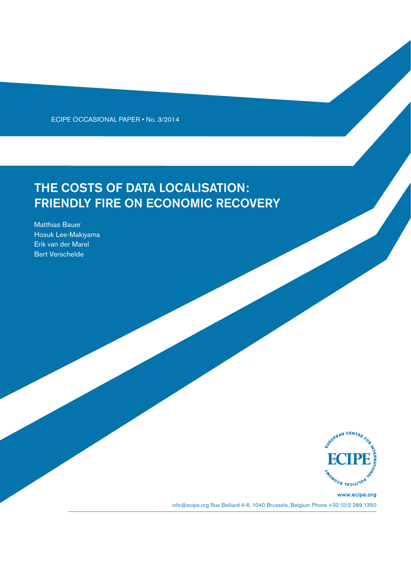ECIPE OCCASIONAL PAPER • No. 3/2014

# THE COSTS OF DATA LOCALISATION: FRIENDLY FIRE ON ECONOMIC RECOVERY

Matthias Bauer Hosuk Lee-Makiyama Erik van der Marel Bert Verschelde



www.ecipe.org info@ecipe.org Rue Belliard 4-6, 1040 Brussels, Belgium Phone +32 (0)2 289 1350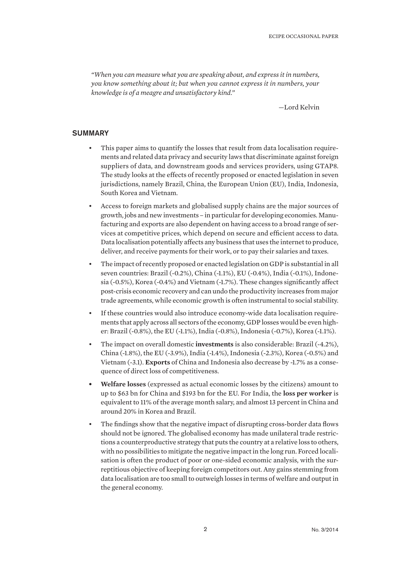*"When you can measure what you are speaking about, and express it in numbers, you know something about it; but when you cannot express it in numbers, your knowledge is of a meagre and unsatisfactory kind."*

—Lord Kelvin

## **SUMMARY**

- This paper aims to quantify the losses that result from data localisation requirements and related data privacy and security laws that discriminate against foreign suppliers of data, and downstream goods and services providers, using GTAP8. The study looks at the effects of recently proposed or enacted legislation in seven jurisdictions, namely Brazil, China, the European Union (EU), India, Indonesia, South Korea and Vietnam.
- Access to foreign markets and globalised supply chains are the major sources of growth, jobs and new investments – in particular for developing economies. Manufacturing and exports are also dependent on having access to a broad range of services at competitive prices, which depend on secure and efficient access to data. Data localisation potentially affects any business that uses the internet to produce, deliver, and receive payments for their work, or to pay their salaries and taxes.
- The impact of recently proposed or enacted legislation on GDP is substantial in all seven countries: Brazil (-0.2%), China (-1.1%), EU (-0.4%), India (-0.1%), Indonesia (-0.5%), Korea (-0.4%) and Vietnam (-1.7%). These changes significantly affect post-crisis economic recovery and can undo the productivity increases from major trade agreements, while economic growth is often instrumental to social stability.
- If these countries would also introduce economy-wide data localisation requirements that apply across all sectors of the economy, GDP losses would be even higher: Brazil (-0.8%), the EU (-1.1%), India (-0.8%), Indonesia (-0.7%), Korea (-1.1%).
- The impact on overall domestic **investments** is also considerable: Brazil (-4.2%), China (-1.8%), the EU (-3.9%), India (-1.4%), Indonesia (-2.3%), Korea (-0.5%) and Vietnam (-3.1). **Exports** of China and Indonesia also decrease by -1.7% as a consequence of direct loss of competitiveness.
- **• Welfare losses** (expressed as actual economic losses by the citizens) amount to up to \$63 bn for China and \$193 bn for the EU. For India, the **loss per worker** is equivalent to 11% of the average month salary, and almost 13 percent in China and around 20% in Korea and Brazil.
- The findings show that the negative impact of disrupting cross-border data flows should not be ignored. The globalised economy has made unilateral trade restrictions a counterproductive strategy that puts the country at a relative loss to others, with no possibilities to mitigate the negative impact in the long run. Forced localisation is often the product of poor or one-sided economic analysis, with the surreptitious objective of keeping foreign competitors out. Any gains stemming from data localisation are too small to outweigh losses in terms of welfare and output in the general economy.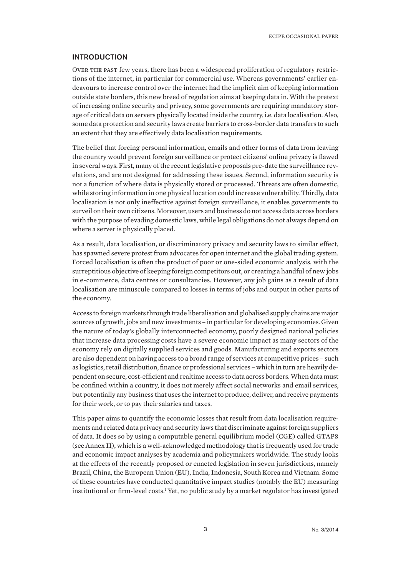#### INTRODUCTION

Over the past few years, there has been a widespread proliferation of regulatory restrictions of the internet, in particular for commercial use. Whereas governments' earlier endeavours to increase control over the internet had the implicit aim of keeping information outside state borders, this new breed of regulation aims at keeping data in. With the pretext of increasing online security and privacy, some governments are requiring mandatory storage of critical data on servers physically located inside the country, i.e. data localisation. Also, some data protection and security laws create barriers to cross-border data transfers to such an extent that they are effectively data localisation requirements.

The belief that forcing personal information, emails and other forms of data from leaving the country would prevent foreign surveillance or protect citizens' online privacy is flawed in several ways. First, many of the recent legislative proposals pre-date the surveillance revelations, and are not designed for addressing these issues. Second, information security is not a function of where data is physically stored or processed. Threats are often domestic, while storing information in one physical location could increase vulnerability. Thirdly, data localisation is not only ineffective against foreign surveillance, it enables governments to surveil on their own citizens. Moreover, users and business do not access data across borders with the purpose of evading domestic laws, while legal obligations do not always depend on where a server is physically placed.

As a result, data localisation, or discriminatory privacy and security laws to similar effect, has spawned severe protest from advocates for open internet and the global trading system. Forced localisation is often the product of poor or one-sided economic analysis, with the surreptitious objective of keeping foreign competitors out, or creating a handful of new jobs in e-commerce, data centres or consultancies. However, any job gains as a result of data localisation are minuscule compared to losses in terms of jobs and output in other parts of the economy.

Access to foreign markets through trade liberalisation and globalised supply chains are major sources of growth, jobs and new investments – in particular for developing economies. Given the nature of today's globally interconnected economy, poorly designed national policies that increase data processing costs have a severe economic impact as many sectors of the economy rely on digitally supplied services and goods. Manufacturing and exports sectors are also dependent on having access to a broad range of services at competitive prices – such as logistics, retail distribution, finance or professional services - which in turn are heavily dependent on secure, cost-efficient and realtime access to data across borders. When data must be confined within a country, it does not merely affect social networks and email services, but potentially any business that uses the internet to produce, deliver, and receive payments for their work, or to pay their salaries and taxes.

This paper aims to quantify the economic losses that result from data localisation requirements and related data privacy and security laws that discriminate against foreign suppliers of data. It does so by using a computable general equilibrium model (CGE) called GTAP8 (see Annex II), which is a well-acknowledged methodology that is frequently used for trade and economic impact analyses by academia and policymakers worldwide. The study looks at the effects of the recently proposed or enacted legislation in seven jurisdictions, namely Brazil, China, the European Union (EU), India, Indonesia, South Korea and Vietnam. Some of these countries have conducted quantitative impact studies (notably the EU) measuring institutional or firm-level costs.<sup>1</sup> Yet, no public study by a market regulator has investigated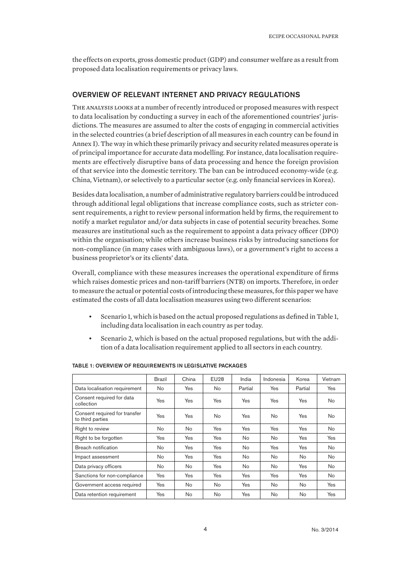the effects on exports, gross domestic product (GDP) and consumer welfare as a result from proposed data localisation requirements or privacy laws.

## OVERVIEW OF RELEVANT INTERNET AND PRIVACY REGULATIONS

The analysis looks at a number of recently introduced or proposed measures with respect to data localisation by conducting a survey in each of the aforementioned countries' jurisdictions. The measures are assumed to alter the costs of engaging in commercial activities in the selected countries (a brief description of all measures in each country can be found in Annex I). The way in which these primarily privacy and security related measures operate is of principal importance for accurate data modelling. For instance, data localisation requirements are effectively disruptive bans of data processing and hence the foreign provision of that service into the domestic territory. The ban can be introduced economy-wide (e.g. China, Vietnam), or selectively to a particular sector (e.g. only financial services in Korea).

Besides data localisation, a number of administrative regulatory barriers could be introduced through additional legal obligations that increase compliance costs, such as stricter consent requirements, a right to review personal information held by firms, the requirement to notify a market regulator and/or data subjects in case of potential security breaches. Some measures are institutional such as the requirement to appoint a data privacy officer (DPO) within the organisation; while others increase business risks by introducing sanctions for non-compliance (in many cases with ambiguous laws), or a government's right to access a business proprietor's or its clients' data.

Overall, compliance with these measures increases the operational expenditure of firms which raises domestic prices and non-tariff barriers (NTB) on imports. Therefore, in order to measure the actual or potential costs of introducing these measures, for this paper we have estimated the costs of all data localisation measures using two different scenarios:

- Scenario 1, which is based on the actual proposed regulations as defined in Table 1, including data localisation in each country as per today.
- Scenario 2, which is based on the actual proposed regulations, but with the addition of a data localisation requirement applied to all sectors in each country.

|                                                   | <b>Brazil</b>  | China      | <b>EU28</b> | India      | Indonesia | Korea     | Vietnam        |
|---------------------------------------------------|----------------|------------|-------------|------------|-----------|-----------|----------------|
| Data localisation requirement                     | No             | Yes        | No          | Partial    | Yes       | Partial   | Yes            |
| Consent required for data<br>collection           | <b>Yes</b>     | <b>Yes</b> | Yes         | <b>Yes</b> | Yes       | Yes       | N <sub>o</sub> |
| Consent required for transfer<br>to third parties | Yes            | Yes        | No.         | <b>Yes</b> | No.       | Yes       | N <sub>o</sub> |
| Right to review                                   | No             | <b>No</b>  | Yes         | Yes        | Yes       | Yes       | No             |
| Right to be forgotten                             | Yes            | Yes        | <b>Yes</b>  | No         | No.       | Yes       | Yes            |
| Breach notification                               | N <sub>o</sub> | Yes        | <b>Yes</b>  | No         | Yes       | Yes       | No.            |
| Impact assessment                                 | N <sub>o</sub> | Yes        | <b>Yes</b>  | <b>No</b>  | No        | No        | No.            |
| Data privacy officers                             | No             | No.        | Yes         | No         | No        | Yes       | No             |
| Sanctions for non-compliance                      | Yes            | Yes        | Yes         | Yes        | Yes       | Yes       | No.            |
| Government access required                        | Yes            | <b>No</b>  | <b>No</b>   | Yes        | No        | No        | Yes            |
| Data retention requirement                        | <b>Yes</b>     | <b>No</b>  | No.         | Yes        | No.       | <b>No</b> | Yes            |

#### TABLE 1: OVERVIEW OF REQUIREMENTS IN LEGISLATIVE PACKAGES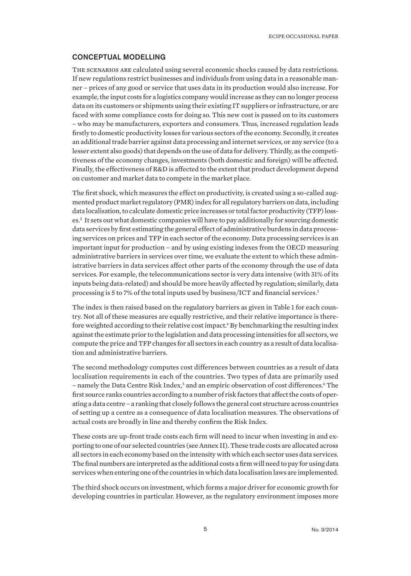## CONCEPTUAL MODELLING

The scenarios are calculated using several economic shocks caused by data restrictions. If new regulations restrict businesses and individuals from using data in a reasonable manner – prices of any good or service that uses data in its production would also increase. For example, the input costs for a logistics company would increase as they can no longer process data on its customers or shipments using their existing IT suppliers or infrastructure, or are faced with some compliance costs for doing so. This new cost is passed on to its customers – who may be manufacturers, exporters and consumers. Thus, increased regulation leads firstly to domestic productivity losses for various sectors of the economy. Secondly, it creates an additional trade barrier against data processing and internet services, or any service (to a lesser extent also goods) that depends on the use of data for delivery. Thirdly, as the competitiveness of the economy changes, investments (both domestic and foreign) will be affected. Finally, the effectiveness of R&D is affected to the extent that product development depend on customer and market data to compete in the market place.

The first shock, which measures the effect on productivity, is created using a so-called augmented product market regulatory (PMR) index for all regulatory barriers on data, including data localisation, to calculate domestic price increases or total factor productivity (TFP) losses.<sup>2</sup> It sets out what domestic companies will have to pay additionally for sourcing domestic data services by first estimating the general effect of administrative burdens in data processing services on prices and TFP in each sector of the economy. Data processing services is an important input for production – and by using existing indexes from the OECD measuring administrative barriers in services over time, we evaluate the extent to which these administrative barriers in data services affect other parts of the economy through the use of data services. For example, the telecommunications sector is very data intensive (with 31% of its inputs being data-related) and should be more heavily affected by regulation; similarly, data processing is 5 to 7% of the total inputs used by business/ICT and financial services.3

The index is then raised based on the regulatory barriers as given in Table 1 for each country. Not all of these measures are equally restrictive, and their relative importance is therefore weighted according to their relative cost impact.<sup>4</sup> By benchmarking the resulting index against the estimate prior to the legislation and data processing intensities for all sectors, we compute the price and TFP changes for all sectors in each country as a result of data localisation and administrative barriers.

The second methodology computes cost differences between countries as a result of data localisation requirements in each of the countries. Two types of data are primarily used – namely the Data Centre Risk Index,<sup>5</sup> and an empiric observation of cost differences.<sup>6</sup> The first source ranks countries according to a number of risk factors that affect the costs of operating a data centre – a ranking that closely follows the general cost structure across countries of setting up a centre as a consequence of data localisation measures. The observations of actual costs are broadly in line and thereby confirm the Risk Index.

These costs are up-front trade costs each firm will need to incur when investing in and exporting to one of our selected countries (see Annex II). These trade costs are allocated across all sectors in each economy based on the intensity with which each sector uses data services. The final numbers are interpreted as the additional costs a firm will need to pay for using data services when entering one of the countries in which data localisation laws are implemented.

The third shock occurs on investment, which forms a major driver for economic growth for developing countries in particular. However, as the regulatory environment imposes more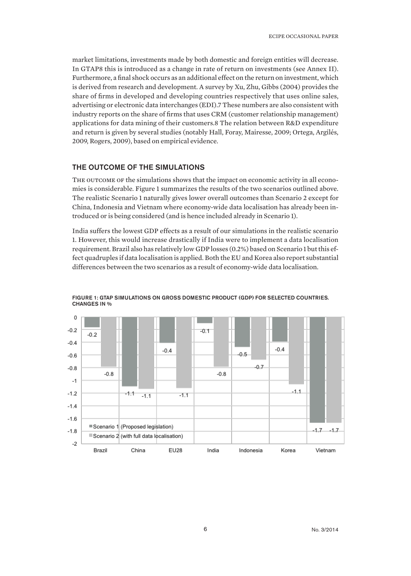market limitations, investments made by both domestic and foreign entities will decrease. In GTAP8 this is introduced as a change in rate of return on investments (see Annex II). Furthermore, a final shock occurs as an additional effect on the return on investment, which is derived from research and development. A survey by Xu, Zhu, Gibbs (2004) provides the share of firms in developed and developing countries respectively that uses online sales, advertising or electronic data interchanges (EDI).7 These numbers are also consistent with industry reports on the share of firms that uses CRM (customer relationship management) applications for data mining of their customers.8 The relation between R&D expenditure and return is given by several studies (notably Hall, Foray, Mairesse, 2009; Ortega, Argilés, 2009, Rogers, 2009), based on empirical evidence.

## THE OUTCOME OF THE SIMULATIONS

THE OUTCOME OF the simulations shows that the impact on economic activity in all economies is considerable. Figure 1 summarizes the results of the two scenarios outlined above. The realistic Scenario 1 naturally gives lower overall outcomes than Scenario 2 except for China, Indonesia and Vietnam where economy-wide data localisation has already been introduced or is being considered (and is hence included already in Scenario 1).

India suffers the lowest GDP effects as a result of our simulations in the realistic scenario 1. However, this would increase drastically if India were to implement a data localisation requirement. Brazil also has relatively low GDP losses (0.2%) based on Scenario 1 but this effect quadruples if data localisation is applied. Both the EU and Korea also report substantial differences between the two scenarios as a result of economy-wide data localisation.



FIGURE 1: GTAP SIMULATIONS ON GROSS DOMESTIC PRODUCT (GDP) FOR SELECTED COUNTRIES. CHANGES IN %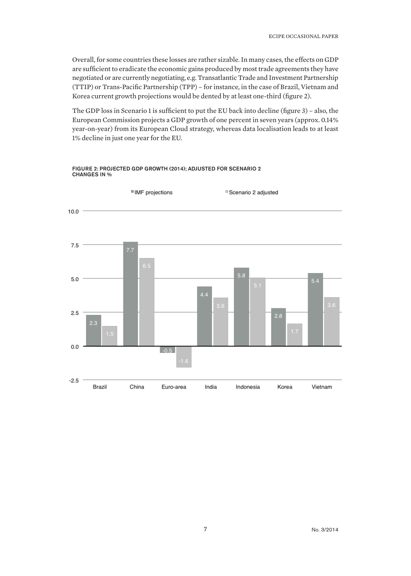Overall, for some countries these losses are rather sizable. In many cases, the effects on GDP are sufficient to eradicate the economic gains produced by most trade agreements they have negotiated or are currently negotiating, e.g. Transatlantic Trade and Investment Partnership (TTIP) or Trans-Pacific Partnership (TPP) – for instance, in the case of Brazil, Vietnam and Korea current growth projections would be dented by at least one-third (figure 2).

The GDP loss in Scenario 1 is sufficient to put the EU back into decline (figure 3) – also, the European Commission projects a GDP growth of one percent in seven years (approx. 0.14% year-on-year) from its European Cloud strategy, whereas data localisation leads to at least 1% decline in just one year for the EU.



#### FIGURE 2: PROJECTED GDP GROWTH (2014); ADJUSTED FOR SCENARIO 2 CHANGES IN %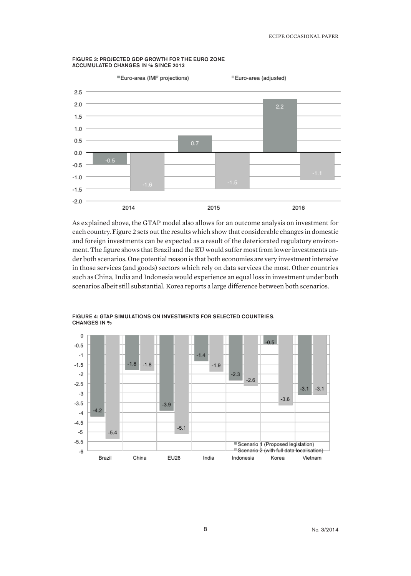

#### FIGURE 3: PROJECTED GDP GROWTH FOR THE EURO ZONE ACCUMULATED CHANGES IN % SINCE 2013

As explained above, the GTAP model also allows for an outcome analysis on investment for each country. Figure 2 sets out the results which show that considerable changes in domestic and foreign investments can be expected as a result of the deteriorated regulatory environment. The figure shows that Brazil and the EU would suffer most from lower investments under both scenarios. One potential reason is that both economies are very investment intensive in those services (and goods) sectors which rely on data services the most. Other countries such as China, India and Indonesia would experience an equal loss in investment under both scenarios albeit still substantial. Korea reports a large difference between both scenarios.



FIGURE 4: GTAP SIMULATIONS ON INVESTMENTS FOR SELECTED COUNTRIES. CHANGES IN %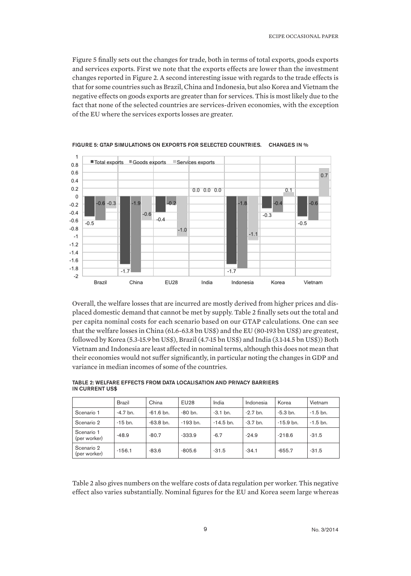Figure 5 finally sets out the changes for trade, both in terms of total exports, goods exports and services exports. First we note that the exports effects are lower than the investment changes reported in Figure 2. A second interesting issue with regards to the trade effects is that for some countries such as Brazil, China and Indonesia, but also Korea and Vietnam the negative effects on goods exports are greater than for services. This is most likely due to the fact that none of the selected countries are services-driven economies, with the exception of the EU where the services exports losses are greater.



FIGURE 5: GTAP SIMULATIONS ON EXPORTS FOR SELECTED COUNTRIES. CHANGES IN %

Overall, the welfare losses that are incurred are mostly derived from higher prices and displaced domestic demand that cannot be met by supply. Table 2 finally sets out the total and per capita nominal costs for each scenario based on our GTAP calculations. One can see that the welfare losses in China (61.6-63.8 bn US\$) and the EU (80-193 bn US\$) are greatest, followed by Korea (5.3-15.9 bn US\$), Brazil (4.7-15 bn US\$) and India (3.1-14.5 bn US\$)) Both Vietnam and Indonesia are least affected in nominal terms, although this does not mean that their economies would not suffer significantly, in particular noting the changes in GDP and variance in median incomes of some of the countries.

|                            | Brazil     | China                | <b>EU28</b> | India       | Indonesia  | Korea       | Vietnam    |
|----------------------------|------------|----------------------|-------------|-------------|------------|-------------|------------|
| Scenario 1                 | $-4.7$ bn. | $-61.6 \text{ bn}$ . | $-80$ bn.   | $-3.1$ bn.  | $-2.7$ bn. | $-5.3$ bn.  | $-1.5$ bn. |
| Scenario 2                 | $-15$ bn.  | $-63.8$ bn.          | $-193$ bn.  | $-14.5$ bn. | $-3.7$ bn. | $-15.9$ bn. | $-1.5$ bn. |
| Scenario 1<br>(per worker) | $-48.9$    | $-80.7$              | $-333.9$    | $-6.7$      | $-24.9$    | $-218.6$    | $-31.5$    |
| Scenario 2<br>(per worker) | $-156.1$   | $-83.6$              | $-805.6$    | $-31.5$     | $-34.1$    | $-655.7$    | $-31.5$    |

TABLE 2: WELFARE EFFECTS FROM DATA LOCALISATION AND PRIVACY BARRIERS IN CURRENT US\$

Table 2 also gives numbers on the welfare costs of data regulation per worker. This negative effect also varies substantially. Nominal figures for the EU and Korea seem large whereas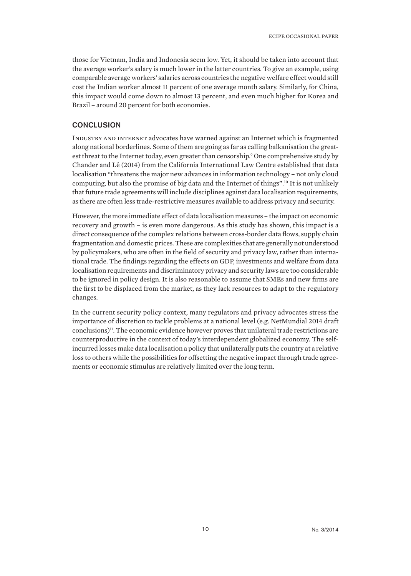those for Vietnam, India and Indonesia seem low. Yet, it should be taken into account that the average worker's salary is much lower in the latter countries. To give an example, using comparable average workers' salaries across countries the negative welfare effect would still cost the Indian worker almost 11 percent of one average month salary. Similarly, for China, this impact would come down to almost 13 percent, and even much higher for Korea and Brazil – around 20 percent for both economies.

## **CONCLUSION**

Industry and internet advocates have warned against an Internet which is fragmented along national borderlines. Some of them are going as far as calling balkanisation the greatest threat to the Internet today, even greater than censorship.<sup>9</sup> One comprehensive study by Chander and Lê (2014) from the California International Law Centre established that data localisation "threatens the major new advances in information technology – not only cloud computing, but also the promise of big data and the Internet of things".10 It is not unlikely that future trade agreements will include disciplines against data localisation requirements, as there are often less trade-restrictive measures available to address privacy and security.

However, the more immediate effect of data localisation measures – the impact on economic recovery and growth – is even more dangerous. As this study has shown, this impact is a direct consequence of the complex relations between cross-border data flows, supply chain fragmentation and domestic prices. These are complexities that are generally not understood by policymakers, who are often in the field of security and privacy law, rather than international trade. The findings regarding the effects on GDP, investments and welfare from data localisation requirements and discriminatory privacy and security laws are too considerable to be ignored in policy design. It is also reasonable to assume that SMEs and new firms are the first to be displaced from the market, as they lack resources to adapt to the regulatory changes.

In the current security policy context, many regulators and privacy advocates stress the importance of discretion to tackle problems at a national level (e.g. NetMundial 2014 draft conclusions)<sup>11</sup>. The economic evidence however proves that unilateral trade restrictions are counterproductive in the context of today's interdependent globalized economy. The selfincurred losses make data localisation a policy that unilaterally puts the country at a relative loss to others while the possibilities for offsetting the negative impact through trade agreements or economic stimulus are relatively limited over the long term.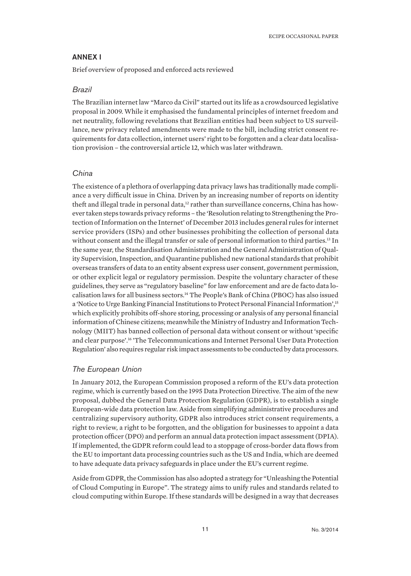## ANNEX I

Brief overview of proposed and enforced acts reviewed

#### *Brazil*

The Brazilian internet law "Marco da Civil" started out its life as a crowdsourced legislative proposal in 2009. While it emphasised the fundamental principles of internet freedom and net neutrality, following revelations that Brazilian entities had been subject to US surveillance, new privacy related amendments were made to the bill, including strict consent requirements for data collection, internet users' right to be forgotten and a clear data localisation provision – the controversial article 12, which was later withdrawn.

## *China*

The existence of a plethora of overlapping data privacy laws has traditionally made compliance a very difficult issue in China. Driven by an increasing number of reports on identity theft and illegal trade in personal data,<sup>12</sup> rather than surveillance concerns, China has however taken steps towards privacy reforms – the 'Resolution relating to Strengthening the Protection of Information on the Internet' of December 2013 includes general rules for internet service providers (ISPs) and other businesses prohibiting the collection of personal data without consent and the illegal transfer or sale of personal information to third parties.<sup>13</sup> In the same year, the Standardisation Administration and the General Administration of Quality Supervision, Inspection, and Quarantine published new national standards that prohibit overseas transfers of data to an entity absent express user consent, government permission, or other explicit legal or regulatory permission. Despite the voluntary character of these guidelines, they serve as "regulatory baseline" for law enforcement and are de facto data localisation laws for all business sectors.14 The People's Bank of China (PBOC) has also issued a 'Notice to Urge Banking Financial Institutions to Protect Personal Financial Information',<sup>15</sup> which explicitly prohibits off-shore storing, processing or analysis of any personal financial information of Chinese citizens; meanwhile the Ministry of Industry and Information Technology (MIIT) has banned collection of personal data without consent or without 'specific and clear purpose'.16 'The Telecommunications and Internet Personal User Data Protection Regulation' also requires regular risk impact assessments to be conducted by data processors.

#### *The European Union*

In January 2012, the European Commission proposed a reform of the EU's data protection regime, which is currently based on the 1995 Data Protection Directive. The aim of the new proposal, dubbed the General Data Protection Regulation (GDPR), is to establish a single European-wide data protection law. Aside from simplifying administrative procedures and centralizing supervisory authority, GDPR also introduces strict consent requirements, a right to review, a right to be forgotten, and the obligation for businesses to appoint a data protection officer (DPO) and perform an annual data protection impact assessment (DPIA). If implemented, the GDPR reform could lead to a stoppage of cross-border data flows from the EU to important data processing countries such as the US and India, which are deemed to have adequate data privacy safeguards in place under the EU's current regime.

Aside from GDPR, the Commission has also adopted a strategy for "Unleashing the Potential of Cloud Computing in Europe". The strategy aims to unify rules and standards related to cloud computing within Europe. If these standards will be designed in a way that decreases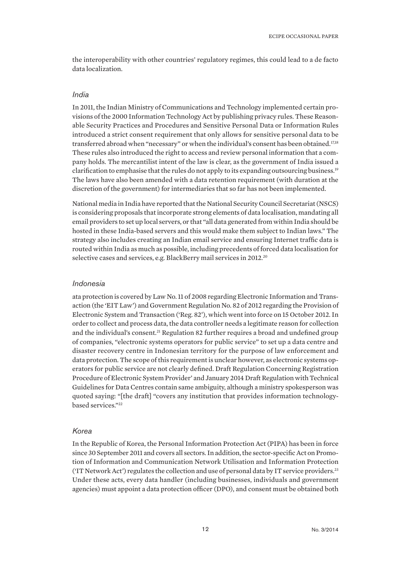the interoperability with other countries' regulatory regimes, this could lead to a de facto data localization.

#### *India*

In 2011, the Indian Ministry of Communications and Technology implemented certain provisions of the 2000 Information Technology Act by publishing privacy rules. These Reasonable Security Practices and Procedures and Sensitive Personal Data or Information Rules introduced a strict consent requirement that only allows for sensitive personal data to be transferred abroad when "necessary" or when the individual's consent has been obtained.<sup>17,18</sup> These rules also introduced the right to access and review personal information that a company holds. The mercantilist intent of the law is clear, as the government of India issued a clarification to emphasise that the rules do not apply to its expanding outsourcing business.<sup>19</sup> The laws have also been amended with a data retention requirement (with duration at the discretion of the government) for intermediaries that so far has not been implemented.

National media in India have reported that the National Security Council Secretariat (NSCS) is considering proposals that incorporate strong elements of data localisation, mandating all email providers to set up local servers, or that "all data generated from within India should be hosted in these India-based servers and this would make them subject to Indian laws." The strategy also includes creating an Indian email service and ensuring Internet traffic data is routed within India as much as possible, including precedents of forced data localisation for selective cases and services, e.g. BlackBerry mail services in 2012.<sup>20</sup>

#### *Indonesia*

ata protection is covered by Law No. 11 of 2008 regarding Electronic Information and Transaction (the 'EIT Law') and Government Regulation No. 82 of 2012 regarding the Provision of Electronic System and Transaction ('Reg. 82'), which went into force on 15 October 2012. In order to collect and process data, the data controller needs a legitimate reason for collection and the individual's consent.<sup>21</sup> Regulation 82 further requires a broad and undefined group of companies, "electronic systems operators for public service" to set up a data centre and disaster recovery centre in Indonesian territory for the purpose of law enforcement and data protection. The scope of this requirement is unclear however, as electronic systems operators for public service are not clearly defined. Draft Regulation Concerning Registration Procedure of Electronic System Provider' and January 2014 Draft Regulation with Technical Guidelines for Data Centres contain same ambiguity, although a ministry spokesperson was quoted saying: "[the draft] "covers any institution that provides information technologybased services."22

#### *Korea*

In the Republic of Korea, the Personal Information Protection Act (PIPA) has been in force since 30 September 2011 and covers all sectors. In addition, the sector-specific Act on Promotion of Information and Communication Network Utilisation and Information Protection ('IT Network Act') regulates the collection and use of personal data by IT service providers.23 Under these acts, every data handler (including businesses, individuals and government agencies) must appoint a data protection officer (DPO), and consent must be obtained both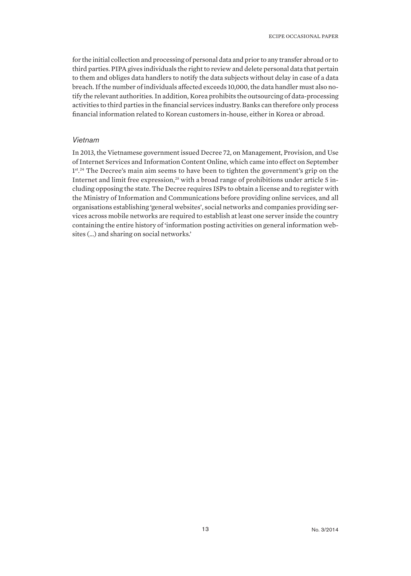for the initial collection and processing of personal data and prior to any transfer abroad or to third parties. PIPA gives individuals the right to review and delete personal data that pertain to them and obliges data handlers to notify the data subjects without delay in case of a data breach. If the number of individuals affected exceeds 10,000, the data handler must also notify the relevant authorities. In addition, Korea prohibits the outsourcing of data-processing activities to third parties in the financial services industry. Banks can therefore only process financial information related to Korean customers in-house, either in Korea or abroad.

#### *Vietnam*

In 2013, the Vietnamese government issued Decree 72, on Management, Provision, and Use of Internet Services and Information Content Online, which came into effect on September 1<sup>st 24</sup> The Decree's main aim seems to have been to tighten the government's grip on the Internet and limit free expression, $25$  with a broad range of prohibitions under article 5 including opposing the state. The Decree requires ISPs to obtain a license and to register with the Ministry of Information and Communications before providing online services, and all organisations establishing 'general websites', social networks and companies providing services across mobile networks are required to establish at least one server inside the country containing the entire history of 'information posting activities on general information websites (…) and sharing on social networks.'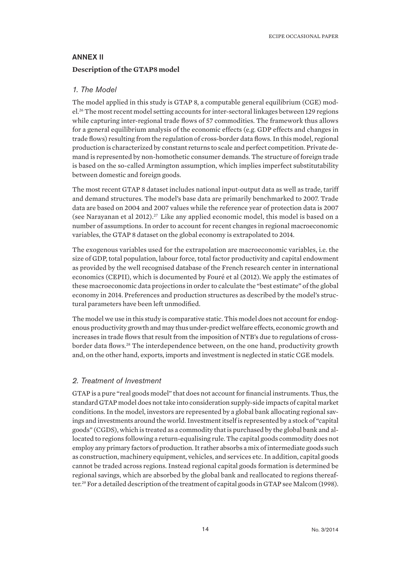## ANNEX II **Description of the GTAP8 model**

#### *1. The Model*

The model applied in this study is GTAP 8, a computable general equilibrium (CGE) model.26 The most recent model setting accounts for inter-sectoral linkages between 129 regions while capturing inter-regional trade flows of 57 commodities. The framework thus allows for a general equilibrium analysis of the economic effects (e.g. GDP effects and changes in trade flows) resulting from the regulation of cross-border data flows. In this model, regional production is characterized by constant returns to scale and perfect competition. Private demand is represented by non-homothetic consumer demands. The structure of foreign trade is based on the so-called Armington assumption, which implies imperfect substitutability between domestic and foreign goods.

The most recent GTAP 8 dataset includes national input-output data as well as trade, tariff and demand structures. The model's base data are primarily benchmarked to 2007. Trade data are based on 2004 and 2007 values while the reference year of protection data is 2007 (see Narayanan et al 2012).<sup>27</sup> Like any applied economic model, this model is based on a number of assumptions. In order to account for recent changes in regional macroeconomic variables, the GTAP 8 dataset on the global economy is extrapolated to 2014.

The exogenous variables used for the extrapolation are macroeconomic variables, i.e. the size of GDP, total population, labour force, total factor productivity and capital endowment as provided by the well recognised database of the French research center in international economics (CEPII), which is documented by Fouré et al (2012).We apply the estimates of these macroeconomic data projections in order to calculate the "best estimate" of the global economy in 2014. Preferences and production structures as described by the model's structural parameters have been left unmodified.

The model we use in this study is comparative static. This model does not account for endogenous productivity growth and may thus under-predict welfare effects, economic growth and increases in trade flows that result from the imposition of NTB's due to regulations of crossborder data flows.<sup>28</sup> The interdependence between, on the one hand, productivity growth and, on the other hand, exports, imports and investment is neglected in static CGE models.

## *2. Treatment of Investment*

GTAP is a pure "real goods model" that does not account for financial instruments. Thus, the standard GTAP model does not take into consideration supply-side impacts of capital market conditions. In the model, investors are represented by a global bank allocating regional savings and investments around the world. Investment itself is represented by a stock of "capital goods" (CGDS), which is treated as a commodity that is purchased by the global bank and allocated to regions following a return-equalising rule. The capital goods commodity does not employ any primary factors of production. It rather absorbs a mix of intermediate goods such as construction, machinery equipment, vehicles, and services etc. In addition, capital goods cannot be traded across regions. Instead regional capital goods formation is determined be regional savings, which are absorbed by the global bank and reallocated to regions thereafter.29 For a detailed description of the treatment of capital goods in GTAP see Malcom (1998).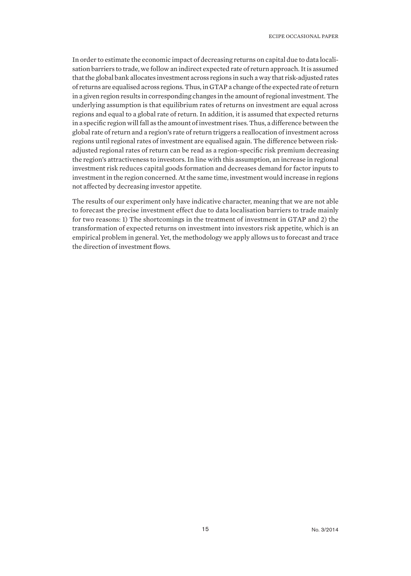In order to estimate the economic impact of decreasing returns on capital due to data localisation barriers to trade, we follow an indirect expected rate of return approach. It is assumed that the global bank allocates investment across regions in such a way that risk-adjusted rates of returns are equalised across regions. Thus, in GTAP a change of the expected rate of return in a given region results in corresponding changes in the amount of regional investment. The underlying assumption is that equilibrium rates of returns on investment are equal across regions and equal to a global rate of return. In addition, it is assumed that expected returns in a specific region will fall as the amount of investment rises. Thus, a difference between the global rate of return and a region's rate of return triggers a reallocation of investment across regions until regional rates of investment are equalised again. The difference between riskadjusted regional rates of return can be read as a region-specific risk premium decreasing the region's attractiveness to investors. In line with this assumption, an increase in regional investment risk reduces capital goods formation and decreases demand for factor inputs to investment in the region concerned. At the same time, investment would increase in regions not affected by decreasing investor appetite.

The results of our experiment only have indicative character, meaning that we are not able to forecast the precise investment effect due to data localisation barriers to trade mainly for two reasons: 1) The shortcomings in the treatment of investment in GTAP and 2) the transformation of expected returns on investment into investors risk appetite, which is an empirical problem in general. Yet, the methodology we apply allows us to forecast and trace the direction of investment flows.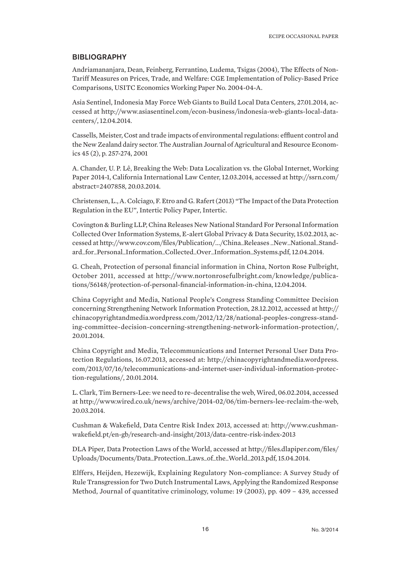#### **BIBLIOGRAPHY**

Andriamananjara, Dean, Feinberg, Ferrantino, Ludema, Tsigas (2004), The Effects of Non-Tariff Measures on Prices, Trade, and Welfare: CGE Implementation of Policy-Based Price Comparisons, USITC Economics Working Paper No. 2004-04-A.

Asia Sentinel, Indonesia May Force Web Giants to Build Local Data Centers, 27.01.2014, accessed at http://www.asiasentinel.com/econ-business/indonesia-web-giants-local-datacenters/, 12.04.2014.

Cassells, Meister, Cost and trade impacts of environmental regulations: effluent control and the New Zealand dairy sector. The Australian Journal of Agricultural and Resource Economics 45 (2), p. 257-274, 2001

A. Chander, U. P. Lê, Breaking the Web: Data Localization vs. the Global Internet, Working Paper 2014-1, California International Law Center, 12.03.2014, accessed at http://ssrn.com/ abstract=2407858, 20.03.2014.

Christensen, L., A. Colciago, F. Etro and G. Rafert (2013) "The Impact of the Data Protection Regulation in the EU", Intertic Policy Paper, Intertic.

Covington & Burling LLP, China Releases New National Standard For Personal Information Collected Over Information Systems, E-alert Global Privacy & Data Security, 15.02.2013, accessed at http://www.cov.com/files/Publication/.../China\_Releases \_New\_National\_Standard\_for\_Personal\_Information\_Collected\_Over\_Information\_Systems.pdf, 12.04.2014.

G. Cheah, Protection of personal financial information in China, Norton Rose Fulbright, October 2011, accessed at http://www.nortonrosefulbright.com/knowledge/publications/56148/protection-of-personal-financial-information-in-china, 12.04.2014.

China Copyright and Media, National People's Congress Standing Committee Decision concerning Strengthening Network Information Protection, 28.12.2012, accessed at http:// chinacopyrightandmedia.wordpress.com/2012/12/28/national-peoples-congress-standing-committee-decision-concerning-strengthening-network-information-protection/, 20.01.2014.

China Copyright and Media, Telecommunications and Internet Personal User Data Protection Regulations, 16.07.2013, accessed at: http://chinacopyrightandmedia.wordpress. com/2013/07/16/telecommunications-and-internet-user-individual-information-protection-regulations/, 20.01.2014.

L. Clark, Tim Berners-Lee: we need to re-decentralise the web, Wired, 06.02.2014, accessed at http://www.wired.co.uk/news/archive/2014-02/06/tim-berners-lee-reclaim-the-web, 20.03.2014.

Cushman & Wakefield, Data Centre Risk Index 2013, accessed at: http://www.cushmanwakefield.pt/en-gb/research-and-insight/2013/data-centre-risk-index-2013

DLA Piper, Data Protection Laws of the World, accessed at http://files.dlapiper.com/files/ Uploads/Documents/Data\_Protection\_Laws\_of\_the\_World\_2013.pdf, 15.04.2014.

Elffers, Heijden, Hezewijk, Explaining Regulatory Non-compliance: A Survey Study of Rule Transgression for Two Dutch Instrumental Laws, Applying the Randomized Response Method, Journal of quantitative criminology, volume: 19 (2003), pp. 409 – 439, accessed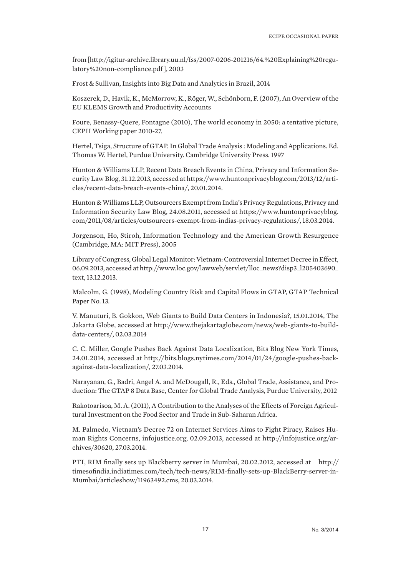from [http://igitur-archive.library.uu.nl/fss/2007-0206-201216/64.%20Explaining%20regulatory%20non-compliance.pdf ], 2003

Frost & Sullivan, Insights into Big Data and Analytics in Brazil, 2014

Koszerek, D., Havik, K., McMorrow, K., Röger, W., Schönborn, F. (2007), An Overview of the EU KLEMS Growth and Productivity Accounts

Foure, Benassy-Quere, Fontagne (2010), The world economy in 2050: a tentative picture, CEPII Working paper 2010-27.

Hertel, Tsiga, Structure of GTAP. In Global Trade Analysis : Modeling and Applications. Ed. Thomas W. Hertel, Purdue University. Cambridge University Press. 1997

Hunton & Williams LLP, Recent Data Breach Events in China, Privacy and Information Security Law Blog, 31.12.2013, accessed at https://www.huntonprivacyblog.com/2013/12/articles/recent-data-breach-events-china/, 20.01.2014.

Hunton & Williams LLP, Outsourcers Exempt from India's Privacy Regulations, Privacy and Information Security Law Blog, 24.08.2011, accessed at https://www.huntonprivacyblog. com/2011/08/articles/outsourcers-exempt-from-indias-privacy-regulations/, 18.03.2014.

Jorgenson, Ho, Stiroh, Information Technology and the American Growth Resurgence (Cambridge, MA: MIT Press), 2005

Library of Congress, Global Legal Monitor: Vietnam: Controversial Internet Decree in Effect, 06.09.2013, accessed at http://www.loc.gov/lawweb/servlet/lloc\_news?disp3\_l205403690\_ text, 13.12.2013.

Malcolm, G. (1998), Modeling Country Risk and Capital Flows in GTAP, GTAP Technical Paper No. 13.

V. Manuturi, B. Gokkon, Web Giants to Build Data Centers in Indonesia?, 15.01.2014, The Jakarta Globe, accessed at http://www.thejakartaglobe.com/news/web-giants-to-builddata-centers/, 02.03.2014

C. C. Miller, Google Pushes Back Against Data Localization, Bits Blog New York Times, 24.01.2014, accessed at http://bits.blogs.nytimes.com/2014/01/24/google-pushes-backagainst-data-localization/, 27.03.2014.

Narayanan, G., Badri, Angel A. and McDougall, R., Eds., Global Trade, Assistance, and Production: The GTAP 8 Data Base, Center for Global Trade Analysis, Purdue University, 2012

Rakotoarisoa, M. A. (2011), A Contribution to the Analyses of the Effects of Foreign Agricultural Investment on the Food Sector and Trade in Sub-Saharan Africa.

M. Palmedo, Vietnam's Decree 72 on Internet Services Aims to Fight Piracy, Raises Human Rights Concerns, infojustice.org, 02.09.2013, accessed at http://infojustice.org/archives/30620, 27.03.2014.

PTI, RIM finally sets up Blackberry server in Mumbai, 20.02.2012, accessed at http:// timesofindia.indiatimes.com/tech/tech-news/RIM-finally-sets-up-BlackBerry-server-in-Mumbai/articleshow/11963492.cms, 20.03.2014.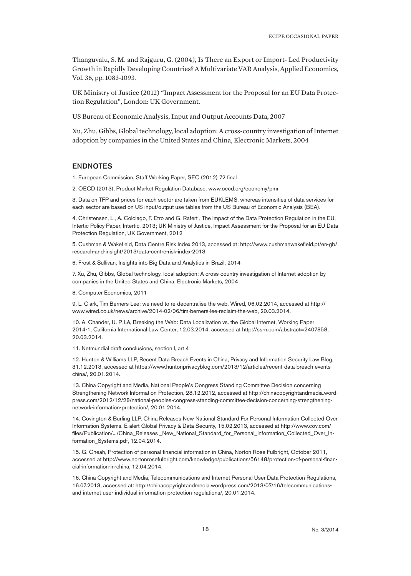Thanguvalu, S. M. and Rajguru, G. (2004), Is There an Export or Import- Led Productivity Growth in Rapidly Developing Countries? A Multivariate VAR Analysis, Applied Economics, Vol. 36, pp. 1083-1093.

UK Ministry of Justice (2012) "Impact Assessment for the Proposal for an EU Data Protection Regulation", London: UK Government.

US Bureau of Economic Analysis, Input and Output Accounts Data, 2007

Xu, Zhu, Gibbs, Global technology, local adoption: A cross-country investigation of Internet adoption by companies in the United States and China, Electronic Markets, 2004

## ENDNOTES

1. European Commission, Staff Working Paper, SEC (2012) 72 final

2. OECD (2013), Product Market Regulation Database, www.oecd.org/economy/pmr

3. Data on TFP and prices for each sector are taken from EUKLEMS, whereas intensities of data services for each sector are based on US input/output use tables from the US Bureau of Economic Analysis (BEA).

4. Christensen, L., A. Colciago, F. Etro and G. Rafert , The Impact of the Data Protection Regulation in the EU, Intertic Policy Paper, Intertic, 2013; UK Ministry of Justice, Impact Assessment for the Proposal for an EU Data Protection Regulation, UK Government, 2012

5. Cushman & Wakefield, Data Centre Risk Index 2013, accessed at: http://www.cushmanwakefield.pt/en-gb/ research-and-insight/2013/data-centre-risk-index-2013

6. Frost & Sullivan, Insights into Big Data and Analytics in Brazil, 2014

7. Xu, Zhu, Gibbs, Global technology, local adoption: A cross-country investigation of Internet adoption by companies in the United States and China, Electronic Markets, 2004

8. Computer Economics, 2011

9. L. Clark, Tim Berners-Lee: we need to re-decentralise the web, Wired, 06.02.2014, accessed at http:// www.wired.co.uk/news/archive/2014-02/06/tim-berners-lee-reclaim-the-web, 20.03.2014.

10. A. Chander, U. P. Lê, Breaking the Web: Data Localization vs. the Global Internet, Working Paper 2014-1, California International Law Center, 12.03.2014, accessed at http://ssrn.com/abstract=2407858, 20.03.2014.

11. Netmundial draft conclusions, section I, art 4

12. Hunton & Williams LLP, Recent Data Breach Events in China, Privacy and Information Security Law Blog, 31.12.2013, accessed at https://www.huntonprivacyblog.com/2013/12/articles/recent-data-breach-eventschina/, 20.01.2014.

13. China Copyright and Media, National People's Congress Standing Committee Decision concerning Strengthening Network Information Protection, 28.12.2012, accessed at http://chinacopyrightandmedia.wordpress.com/2012/12/28/national-peoples-congress-standing-committee-decision-concerning-strengtheningnetwork-information-protection/, 20.01.2014.

14. Covington & Burling LLP, China Releases New National Standard For Personal Information Collected Over Information Systems, E-alert Global Privacy & Data Security, 15.02.2013, accessed at http://www.cov.com/ files/Publication/.../China\_Releases \_New\_National\_Standard\_for\_Personal\_Information\_Collected\_Over\_Information\_Systems.pdf, 12.04.2014.

15. G. Cheah, Protection of personal financial information in China, Norton Rose Fulbright, October 2011, accessed at http://www.nortonrosefulbright.com/knowledge/publications/56148/protection-of-personal-financial-information-in-china, 12.04.2014.

16. China Copyright and Media, Telecommunications and Internet Personal User Data Protection Regulations, 16.07.2013, accessed at: http://chinacopyrightandmedia.wordpress.com/2013/07/16/telecommunicationsand-internet-user-individual-information-protection-regulations/, 20.01.2014.